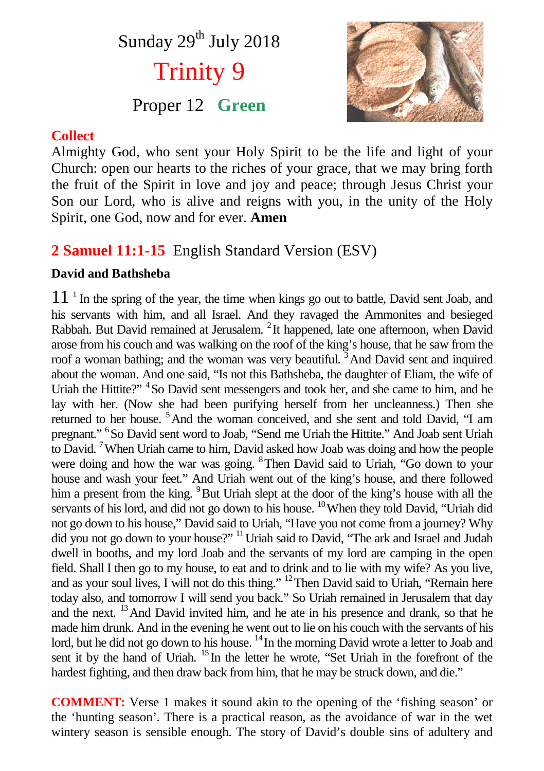# Sunday 29<sup>th</sup> July 2018 Trinity 9

## Proper 12 **Green**



#### **Collect**

Almighty God, who sent your Holy Spirit to be the life and light of your Church: open our hearts to the riches of your grace, that we may bring forth the fruit of the Spirit in love and joy and peace; through Jesus Christ your Son our Lord, who is alive and reigns with you, in the unity of the Holy Spirit, one God, now and for ever. **Amen**

## **2 Samuel 11:1-15** English Standard Version (ESV)

#### **David and Bathsheba**

11<sup>1</sup> In the spring of the year, the time when kings go out to battle, David sent Joab, and his servants with him, and all Israel. And they ravaged the Ammonites and besieged Rabbah. But David remained at Jerusalem. <sup>2</sup> It happened, late one afternoon, when David arose from his couch and was walking on the roof of the king's house, that he saw from the roof a woman bathing; and the woman was very beautiful.<sup>3</sup> And David sent and inquired about the woman. And one said, "Is not this Bathsheba, the daughter of Eliam, the wife of Uriah the Hittite?"<sup>4</sup> So David sent messengers and took her, and she came to him, and he lay with her. (Now she had been purifying herself from her uncleanness.) Then she returned to her house. <sup>5</sup>And the woman conceived, and she sent and told David, "I am pregnant." <sup>6</sup> So David sent word to Joab, "Send me Uriah the Hittite." And Joab sent Uriah to David. <sup>7</sup>When Uriah came to him, David asked how Joab was doing and how the people were doing and how the war was going. <sup>8</sup>Then David said to Uriah, "Go down to your house and wash your feet." And Uriah went out of the king's house, and there followed him a present from the king. <sup>9</sup>But Uriah slept at the door of the king's house with all the servants of his lord, and did not go down to his house. <sup>10</sup>When they told David, "Uriah did not go down to his house," David said to Uriah, "Have you not come from a journey? Why did you not go down to your house?" <sup>11</sup> Uriah said to David, "The ark and Israel and Judah dwell in booths, and my lord Joab and the servants of my lord are camping in the open field. Shall I then go to my house, to eat and to drink and to lie with my wife? As you live, and as your soul lives, I will not do this thing." <sup>12</sup>Then David said to Uriah, "Remain here today also, and tomorrow I will send you back." So Uriah remained in Jerusalem that day and the next. <sup>13</sup>And David invited him, and he ate in his presence and drank, so that he made him drunk. And in the evening he went out to lie on his couch with the servants of his lord, but he did not go down to his house. <sup>14</sup> In the morning David wrote a letter to Joab and sent it by the hand of Uriah. <sup>15</sup> In the letter he wrote, "Set Uriah in the forefront of the hardest fighting, and then draw back from him, that he may be struck down, and die."

**COMMENT:** Verse 1 makes it sound akin to the opening of the 'fishing season' or the 'hunting season'. There is a practical reason, as the avoidance of war in the wet wintery season is sensible enough. The story of David's double sins of adultery and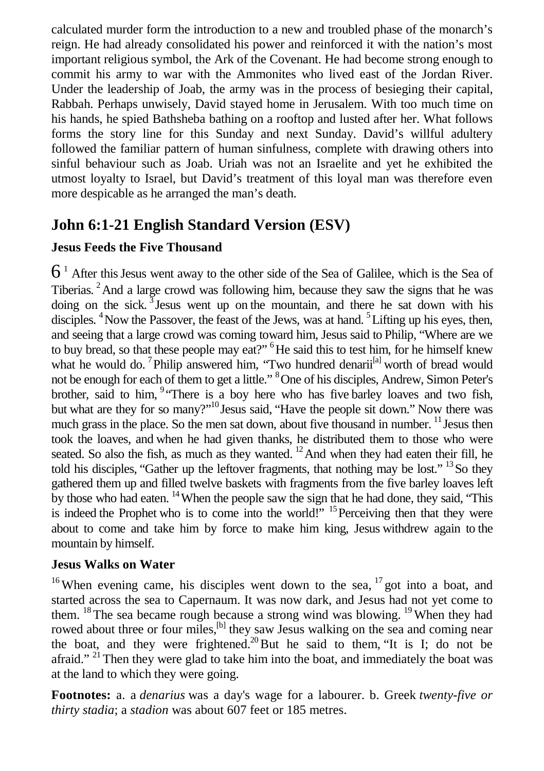calculated murder form the introduction to a new and troubled phase of the monarch's reign. He had already consolidated his power and reinforced it with the nation's most important religious symbol, the Ark of the Covenant. He had become strong enough to commit his army to war with the Ammonites who lived east of the Jordan River. Under the leadership of Joab, the army was in the process of besieging their capital, Rabbah. Perhaps unwisely, David stayed home in Jerusalem. With too much time on his hands, he spied Bathsheba bathing on a rooftop and lusted after her. What follows forms the story line for this Sunday and next Sunday. David's willful adultery followed the familiar pattern of human sinfulness, complete with drawing others into sinful behaviour such as Joab. Uriah was not an Israelite and yet he exhibited the utmost loyalty to Israel, but David's treatment of this loyal man was therefore even more despicable as he arranged the man's death.

### **John 6:1-21 English Standard Version (ESV)**

#### **Jesus Feeds the Five Thousand**

 $6<sup>1</sup>$  After this Jesus went away to the other side of the Sea of Galilee, which is the Sea of Tiberias.<sup>2</sup> And a large crowd was following him, because they saw the signs that he was doing on the sick.  $3$  Jesus went up on the mountain, and there he sat down with his disciples.  $4$ Now the Passover, the feast of the Jews, was at hand.  $5$ Lifting up his eyes, then, and seeing that a large crowd was coming toward him, Jesus said to Philip, "Where are we to buy bread, so that these people may eat?" <sup>6</sup>He said this to test him, for he himself knew what he would do. <sup>7</sup>Philip answered him, "Two hundred denarii<sup>[a]</sup> worth of bread would not be enough for each of them to get a little." <sup>8</sup>One of his disciples, Andrew, Simon Peter's brother, said to him, <sup>9</sup> There is a boy here who has five barley loaves and two fish, but what are they for so many?"<sup>10</sup> Jesus said, "Have the people sit down." Now there was much grass in the place. So the men sat down, about five thousand in number. <sup>11</sup> Jesus then took the loaves, and when he had given thanks, he distributed them to those who were seated. So also the fish, as much as they wanted.  $^{12}$  And when they had eaten their fill, he told his disciples, "Gather up the leftover fragments, that nothing may be lost."  $^{13}$  So they gathered them up and filled twelve baskets with fragments from the five barley loaves left by those who had eaten. <sup>14</sup>When the people saw the sign that he had done, they said, "This is indeed the Prophet who is to come into the world!" <sup>15</sup>Perceiving then that they were about to come and take him by force to make him king, Jesus withdrew again to the mountain by himself.

#### **Jesus Walks on Water**

<sup>16</sup>When evening came, his disciples went down to the sea, <sup>17</sup> got into a boat, and started across the sea to Capernaum. It was now dark, and Jesus had not yet come to them. <sup>18</sup> The sea became rough because a strong wind was blowing. <sup>19</sup> When they had rowed about three or four miles,<sup>[b]</sup> they saw Jesus walking on the sea and coming near the boat, and they were frightened.<sup>20</sup>But he said to them, "It is I; do not be afraid." <sup>21</sup> Then they were glad to take him into the boat, and immediately the boat was at the land to which they were going.

**Footnotes:** a. a *denarius* was a day's wage for a labourer. b. Greek *twenty-five or thirty stadia*; a *stadion* was about 607 feet or 185 metres.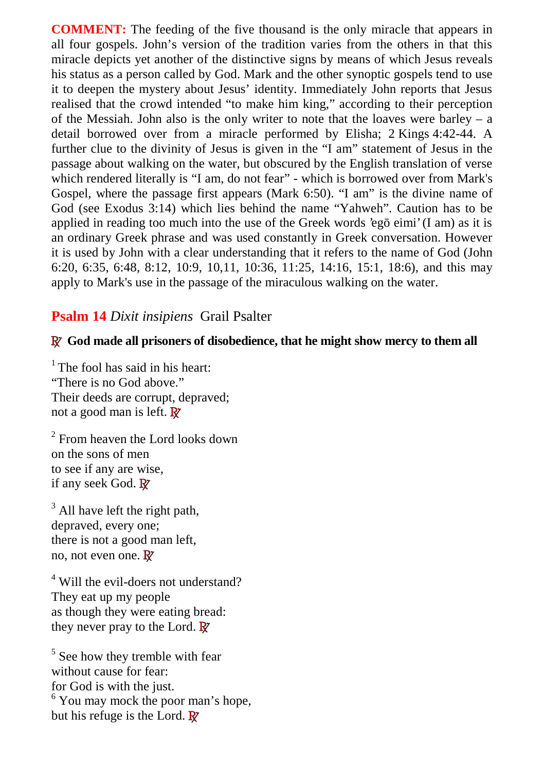**COMMENT:** The feeding of the five thousand is the only miracle that appears in all four gospels. John's version of the tradition varies from the others in that this miracle depicts yet another of the distinctive signs by means of which Jesus reveals his status as a person called by God. Mark and the other synoptic gospels tend to use it to deepen the mystery about Jesus' identity. Immediately John reports that Jesus realised that the crowd intended "to make him king," according to their perception of the Messiah. John also is the only writer to note that the loaves were barley – a detail borrowed over from a miracle performed by Elisha; 2 Kings 4:42-44. A further clue to the divinity of Jesus is given in the "I am" statement of Jesus in the passage about walking on the water, but obscured by the English translation of verse which rendered literally is "I am, do not fear" - which is borrowed over from Mark's Gospel, where the passage first appears (Mark 6:50). "I am" is the divine name of God (see Exodus 3:14) which lies behind the name "Yahweh". Caution has to be applied in reading too much into the use of the Greek words 'eg eimi' (I am) as it is an ordinary Greek phrase and was used constantly in Greek conversation. However it is used by John with a clear understanding that it refers to the name of God (John 6:20, 6:35, 6:48, 8:12, 10:9, 10,11, 10:36, 11:25, 14:16, 15:1, 18:6), and this may apply to Mark's use in the passage of the miraculous walking on the water.

#### **Psalm 14** *Dixit insipiens* Grail Psalter

#### **R God made all prisoners of disobedience, that he might show mercy to them all**

 $<sup>1</sup>$  The fool has said in his heart:</sup> "There is no God above." Their deeds are corrupt, depraved; not a good man is left. **R**

<sup>2</sup> From heaven the Lord looks down on the sons of men to see if any are wise, if any seek God. **R**

 $3$  All have left the right path, depraved, every one; there is not a good man left, no, not even one. **R**

<sup>4</sup> Will the evil-doers not understand? They eat up my people as though they were eating bread: they never pray to the Lord. **R**

<sup>5</sup> See how they tremble with fear without cause for fear: for God is with the just. <sup>6</sup> You may mock the poor man's hope, but his refuge is the Lord. **R**